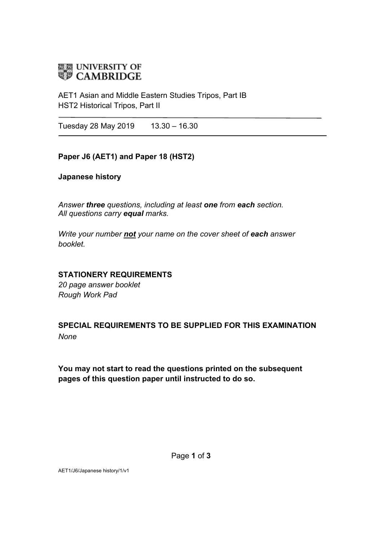

AET1 Asian and Middle Eastern Studies Tripos, Part IB HST2 Historical Tripos, Part II

Tuesday 28 May 2019 13.30 - 16.30

### **Paper J6 (AET1) and Paper 18 (HST2)**

### **Japanese history**

*Answer three questions, including at least one from each section. All questions carry equal marks.*

*Write your number not your name on the cover sheet of each answer booklet.* 

### **STATIONERY REQUIREMENTS**

*20 page answer booklet Rough Work Pad*

## **SPECIAL REQUIREMENTS TO BE SUPPLIED FOR THIS EXAMINATION** *None*

**You may not start to read the questions printed on the subsequent pages of this question paper until instructed to do so.**

AET1/J6/Japanese history/1/v1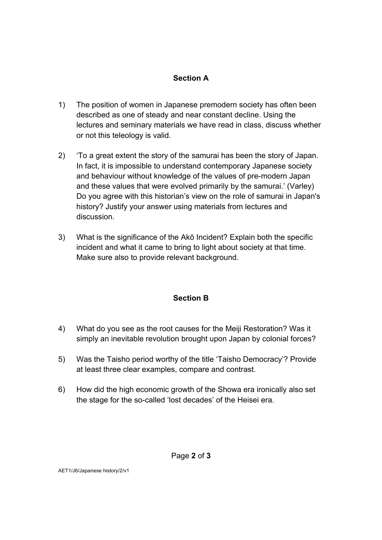## **Section A**

- 1) The position of women in Japanese premodern society has often been described as one of steady and near constant decline. Using the lectures and seminary materials we have read in class, discuss whether or not this teleology is valid.
- 2) 'To a great extent the story of the samurai has been the story of Japan. In fact, it is impossible to understand contemporary Japanese society and behaviour without knowledge of the values of pre-modern Japan and these values that were evolved primarily by the samurai.' (Varley) Do you agree with this historian's view on the role of samurai in Japan's history? Justify your answer using materials from lectures and discussion.
- 3) What is the significance of the Akō Incident? Explain both the specific incident and what it came to bring to light about society at that time. Make sure also to provide relevant background.

## **Section B**

- 4) What do you see as the root causes for the Meiji Restoration? Was it simply an inevitable revolution brought upon Japan by colonial forces?
- 5) Was the Taisho period worthy of the title 'Taisho Democracy'? Provide at least three clear examples, compare and contrast.
- 6) How did the high economic growth of the Showa era ironically also set the stage for the so-called 'lost decades' of the Heisei era.